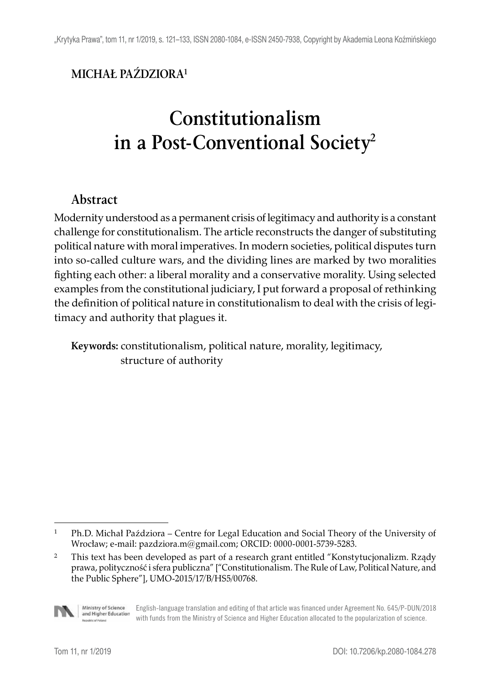## **MICHAŁ PAŹDZIORA1**

# **Constitutionalism in a Post-Conventional Society2**

#### **Abstract**

Modernity understood as a permanent crisis of legitimacy and authority is a constant challenge for constitutionalism. The article reconstructs the danger of substituting political nature with moral imperatives. In modern societies, political disputes turn into so-called culture wars, and the dividing lines are marked by two moralities fighting each other: a liberal morality and a conservative morality. Using selected examples from the constitutional judiciary, I put forward a proposal of rethinking the definition of political nature in constitutionalism to deal with the crisis of legitimacy and authority that plagues it.

**Keywords:** constitutionalism, political nature, morality, legitimacy, structure of authority

<sup>&</sup>lt;sup>2</sup> This text has been developed as part of a research grant entitled "Konstytucjonalizm. Rządy prawa, polityczność i sfera publiczna" ["Constitutionalism. The Rule of Law, Political Nature, and the Public Sphere"], UMO-2015/17/B/HS5/00768.



Ministry of Science English-language translation and editing of that article was financed under Agreement No. 645/P-DUN/2018 and Higher Education with funds from the Ministry of Science and Higher Education allocated to the popularization of science.

<sup>&</sup>lt;sup>1</sup> Ph.D. Michał Paździora – Centre for Legal Education and Social Theory of the University of Wrocław; e-mail: pazdziora.m@gmail.com; ORCID: 0000-0001-5739-5283.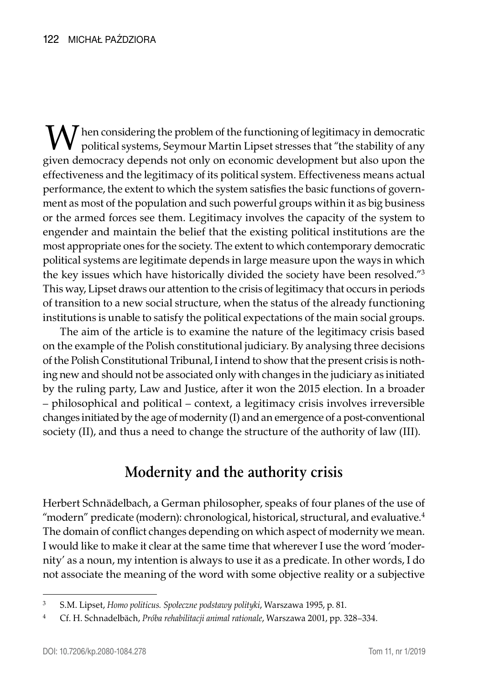$\bf{M}$  hen considering the problem of the functioning of legitimacy in democratic political systems, Seymour Martin Lipset stresses that "the stability of any given democracy depends not only on economic development but also upon the effectiveness and the legitimacy of its political system. Effectiveness means actual performance, the extent to which the system satisfies the basic functions of government as most of the population and such powerful groups within it as big business or the armed forces see them. Legitimacy involves the capacity of the system to engender and maintain the belief that the existing political institutions are the most appropriate ones for the society. The extent to which contemporary democratic political systems are legitimate depends in large measure upon the ways in which the key issues which have historically divided the society have been resolved."3 This way, Lipset draws our attention to the crisis of legitimacy that occurs in periods of transition to a new social structure, when the status of the already functioning institutions is unable to satisfy the political expectations of the main social groups.

The aim of the article is to examine the nature of the legitimacy crisis based on the example of the Polish constitutional judiciary. By analysing three decisions of the Polish Constitutional Tribunal, I intend to show that the present crisis is nothing new and should not be associated only with changes in the judiciary as initiated by the ruling party, Law and Justice, after it won the 2015 election. In a broader – philosophical and political – context, a legitimacy crisis involves irreversible changes initiated by the age of modernity (I) and an emergence of a post-conventional society (II), and thus a need to change the structure of the authority of law (III).

## **Modernity and the authority crisis**

Herbert Schnädelbach, a German philosopher, speaks of four planes of the use of "modern" predicate (modern): chronological, historical, structural, and evaluative.<sup>4</sup> The domain of conflict changes depending on which aspect of modernity we mean. I would like to make it clear at the same time that wherever I use the word 'modernity' as a noun, my intention is always to use it as a predicate. In other words, I do not associate the meaning of the word with some objective reality or a subjective

<sup>3</sup> S.M. Lipset, *Homo politicus. Społeczne podstawy polityki*, Warszawa 1995, p. 81.

<sup>4</sup> Cf. H. Schnadelbäch, *Próba rehabilitacji animal rationale*, Warszawa 2001, pp. 328–334.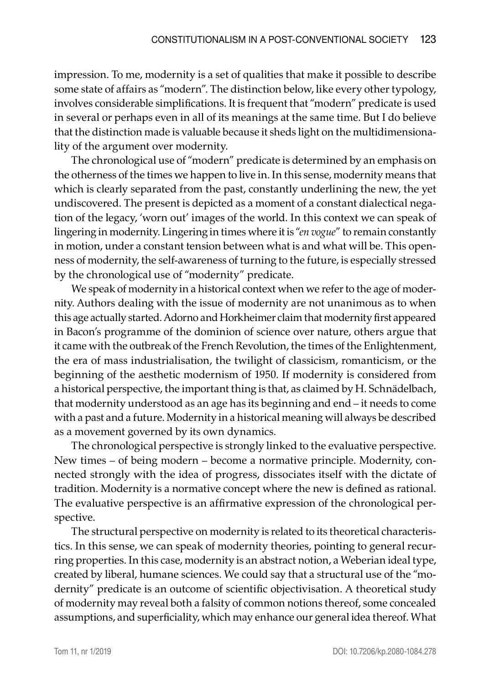impression. To me, modernity is a set of qualities that make it possible to describe some state of affairs as "modern". The distinction below, like every other typology, involves considerable simplifications. It is frequent that "modern" predicate is used in several or perhaps even in all of its meanings at the same time. But I do believe that the distinction made is valuable because it sheds light on the multidimensionality of the argument over modernity.

The chronological use of "modern" predicate is determined by an emphasis on the otherness of the times we happen to live in. In this sense, modernity means that which is clearly separated from the past, constantly underlining the new, the yet undiscovered. The present is depicted as a moment of a constant dialectical negation of the legacy, 'worn out' images of the world. In this context we can speak of lingering in modernity. Lingering in times where it is "*en vogue*" to remain constantly in motion, under a constant tension between what is and what will be. This openness of modernity, the self-awareness of turning to the future, is especially stressed by the chronological use of "modernity" predicate.

We speak of modernity in a historical context when we refer to the age of modernity. Authors dealing with the issue of modernity are not unanimous as to when this age actually started. Adorno and Horkheimer claim that modernity first appeared in Bacon's programme of the dominion of science over nature, others argue that it came with the outbreak of the French Revolution, the times of the Enlightenment, the era of mass industrialisation, the twilight of classicism, romanticism, or the beginning of the aesthetic modernism of 1950. If modernity is considered from a historical perspective, the important thing is that, as claimed by H. Schnädelbach, that modernity understood as an age has its beginning and end – it needs to come with a past and a future. Modernity in a historical meaning will always be described as a movement governed by its own dynamics.

The chronological perspective is strongly linked to the evaluative perspective. New times – of being modern – become a normative principle. Modernity, connected strongly with the idea of progress, dissociates itself with the dictate of tradition. Modernity is a normative concept where the new is defined as rational. The evaluative perspective is an affirmative expression of the chronological perspective.

The structural perspective on modernity is related to its theoretical characteristics. In this sense, we can speak of modernity theories, pointing to general recurring properties. In this case, modernity is an abstract notion, a Weberian ideal type, created by liberal, humane sciences. We could say that a structural use of the "modernity" predicate is an outcome of scientific objectivisation. A theoretical study of modernity may reveal both a falsity of common notions thereof, some concealed assumptions, and superficiality, which may enhance our general idea thereof. What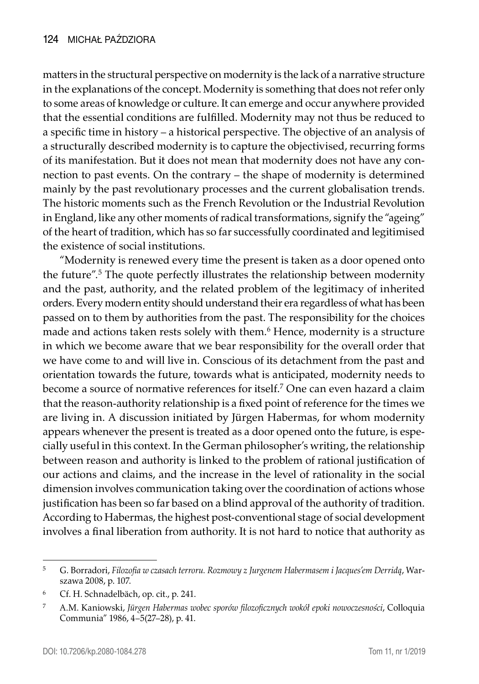matters in the structural perspective on modernity is the lack of a narrative structure in the explanations of the concept. Modernity is something that does not refer only to some areas of knowledge or culture. It can emerge and occur anywhere provided that the essential conditions are fulfilled. Modernity may not thus be reduced to a specific time in history – a historical perspective. The objective of an analysis of a structurally described modernity is to capture the objectivised, recurring forms of its manifestation. But it does not mean that modernity does not have any connection to past events. On the contrary – the shape of modernity is determined mainly by the past revolutionary processes and the current globalisation trends. The historic moments such as the French Revolution or the Industrial Revolution in England, like any other moments of radical transformations, signify the "ageing" of the heart of tradition, which has so far successfully coordinated and legitimised the existence of social institutions.

"Modernity is renewed every time the present is taken as a door opened onto the future".<sup>5</sup> The quote perfectly illustrates the relationship between modernity and the past, authority, and the related problem of the legitimacy of inherited orders. Every modern entity should understand their era regardless of what has been passed on to them by authorities from the past. The responsibility for the choices made and actions taken rests solely with them.<sup>6</sup> Hence, modernity is a structure in which we become aware that we bear responsibility for the overall order that we have come to and will live in. Conscious of its detachment from the past and orientation towards the future, towards what is anticipated, modernity needs to become a source of normative references for itself.7 One can even hazard a claim that the reason-authority relationship is a fixed point of reference for the times we are living in. A discussion initiated by Jürgen Habermas, for whom modernity appears whenever the present is treated as a door opened onto the future, is especially useful in this context. In the German philosopher's writing, the relationship between reason and authority is linked to the problem of rational justification of our actions and claims, and the increase in the level of rationality in the social dimension involves communication taking over the coordination of actions whose justification has been so far based on a blind approval of the authority of tradition. According to Habermas, the highest post-conventional stage of social development involves a final liberation from authority. It is not hard to notice that authority as

<sup>5</sup> G. Borradori, *Filozofia w czasach terroru. Rozmowy z Jurgenem Habermasem i Jacques'em Derridą*, Warszawa 2008, p. 107.

<sup>6</sup> Cf. H. Schnadelbäch, op. cit., p. 241.

<sup>7</sup> A.M. Kaniowski, *Jürgen Habermas wobec sporów filozoficznych wokół epoki nowoczesności*, Colloquia Communia" 1986, 4–5(27–28), p. 41.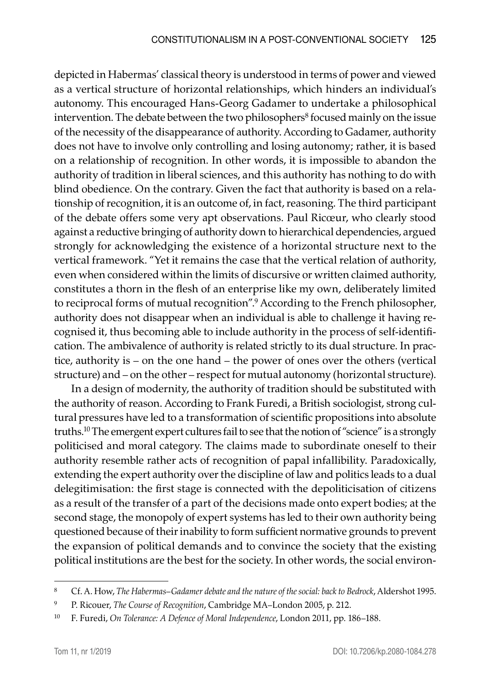depicted in Habermas' classical theory is understood in terms of power and viewed as a vertical structure of horizontal relationships, which hinders an individual's autonomy. This encouraged Hans-Georg Gadamer to undertake a philosophical intervention. The debate between the two philosophers<sup>8</sup> focused mainly on the issue of the necessity of the disappearance of authority. According to Gadamer, authority does not have to involve only controlling and losing autonomy; rather, it is based on a relationship of recognition. In other words, it is impossible to abandon the authority of tradition in liberal sciences, and this authority has nothing to do with blind obedience. On the contrary. Given the fact that authority is based on a relationship of recognition, it is an outcome of, in fact, reasoning. The third participant of the debate offers some very apt observations. Paul Ricœur, who clearly stood against a reductive bringing of authority down to hierarchical dependencies, argued strongly for acknowledging the existence of a horizontal structure next to the vertical framework. "Yet it remains the case that the vertical relation of authority, even when considered within the limits of discursive or written claimed authority, constitutes a thorn in the flesh of an enterprise like my own, deliberately limited to reciprocal forms of mutual recognition".9 According to the French philosopher, authority does not disappear when an individual is able to challenge it having recognised it, thus becoming able to include authority in the process of self-identification. The ambivalence of authority is related strictly to its dual structure. In practice, authority is – on the one hand – the power of ones over the others (vertical structure) and – on the other – respect for mutual autonomy (horizontal structure).

In a design of modernity, the authority of tradition should be substituted with the authority of reason. According to Frank Furedi, a British sociologist, strong cultural pressures have led to a transformation of scientific propositions into absolute truths.10 The emergent expert cultures fail to see that the notion of "science" is a strongly politicised and moral category. The claims made to subordinate oneself to their authority resemble rather acts of recognition of papal infallibility. Paradoxically, extending the expert authority over the discipline of law and politics leads to a dual delegitimisation: the first stage is connected with the depoliticisation of citizens as a result of the transfer of a part of the decisions made onto expert bodies; at the second stage, the monopoly of expert systems has led to their own authority being questioned because of their inability to form sufficient normative grounds to prevent the expansion of political demands and to convince the society that the existing political institutions are the best for the society. In other words, the social environ-

<sup>8</sup> Cf. A. How, *The Habermas–Gadamer debate and the nature of the social: back to Bedrock*, Aldershot 1995.

<sup>9</sup> P. Ricouer, *The Course of Recognition*, Cambridge MA–London 2005, p. 212.

<sup>10</sup> F. Furedi, *On Tolerance: A Defence of Moral Independence*, London 2011, pp. 186–188.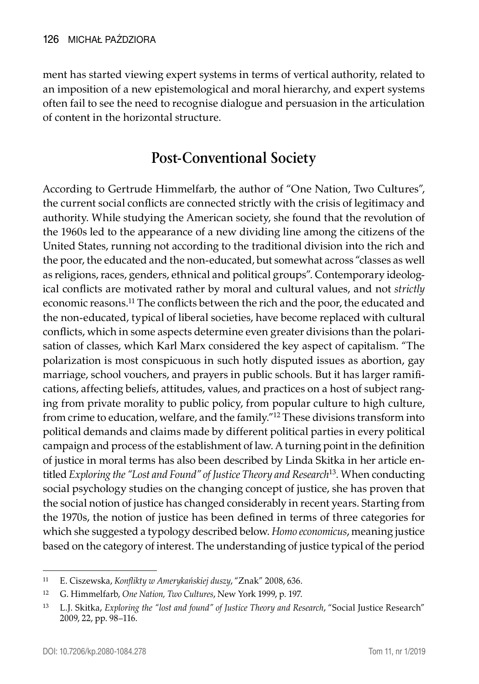ment has started viewing expert systems in terms of vertical authority, related to an imposition of a new epistemological and moral hierarchy, and expert systems often fail to see the need to recognise dialogue and persuasion in the articulation of content in the horizontal structure.

## **Post-Conventional Society**

According to Gertrude Himmelfarb, the author of "One Nation, Two Cultures", the current social conflicts are connected strictly with the crisis of legitimacy and authority. While studying the American society, she found that the revolution of the 1960s led to the appearance of a new dividing line among the citizens of the United States, running not according to the traditional division into the rich and the poor, the educated and the non-educated, but somewhat across "classes as well as religions, races, genders, ethnical and political groups". Contemporary ideological conflicts are motivated rather by moral and cultural values, and not *strictly* economic reasons.<sup>11</sup> The conflicts between the rich and the poor, the educated and the non-educated, typical of liberal societies, have become replaced with cultural conflicts, which in some aspects determine even greater divisions than the polarisation of classes, which Karl Marx considered the key aspect of capitalism. "The polarization is most conspicuous in such hotly disputed issues as abortion, gay marriage, school vouchers, and prayers in public schools. But it has larger ramifications, affecting beliefs, attitudes, values, and practices on a host of subject ranging from private morality to public policy, from popular culture to high culture, from crime to education, welfare, and the family."12 These divisions transform into political demands and claims made by different political parties in every political campaign and process of the establishment of law. A turning point in the definition of justice in moral terms has also been described by Linda Skitka in her article entitled *Exploring the "Lost and Found" of Justice Theory and Research*<sup>13</sup>*.* When conducting social psychology studies on the changing concept of justice, she has proven that the social notion of justice has changed considerably in recent years. Starting from the 1970s, the notion of justice has been defined in terms of three categories for which she suggested a typology described below. *Homo economicus*, meaning justice based on the category of interest. The understanding of justice typical of the period

<sup>11</sup> E. Ciszewska, *Konflikty w Amerykańskiej duszy*, "Znak" 2008, 636.

<sup>12</sup> G. Himmelfarb, *One Nation, Two Cultures*, New York 1999, p. 197.

<sup>13</sup> L.J. Skitka, *Exploring the "lost and found" of Justice Theory and Research*, "Social Justice Research" 2009, 22, pp. 98–116.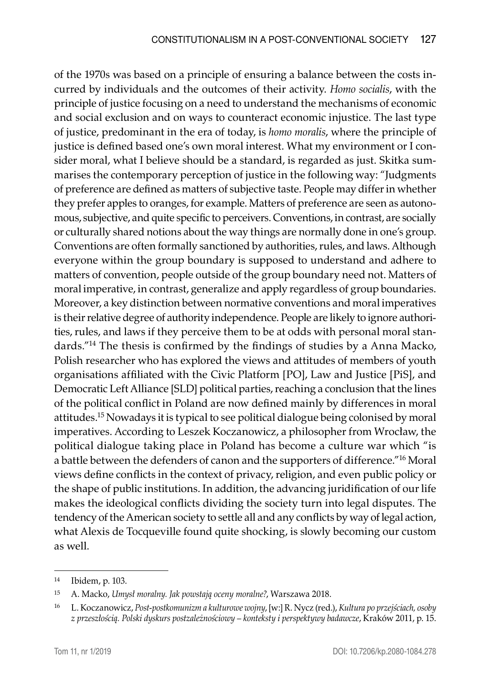of the 1970s was based on a principle of ensuring a balance between the costs incurred by individuals and the outcomes of their activity. *Homo socialis*, with the principle of justice focusing on a need to understand the mechanisms of economic and social exclusion and on ways to counteract economic injustice. The last type of justice, predominant in the era of today, is *homo moralis*, where the principle of justice is defined based one's own moral interest. What my environment or I consider moral, what I believe should be a standard, is regarded as just. Skitka summarises the contemporary perception of justice in the following way: "Judgments of preference are defined as matters of subjective taste. People may differ in whether they prefer apples to oranges, for example. Matters of preference are seen as autonomous, subjective, and quite specific to perceivers. Conventions, in contrast, are socially or culturally shared notions about the way things are normally done in one's group. Conventions are often formally sanctioned by authorities, rules, and laws. Although everyone within the group boundary is supposed to understand and adhere to matters of convention, people outside of the group boundary need not. Matters of moral imperative, in contrast, generalize and apply regardless of group boundaries. Moreover, a key distinction between normative conventions and moral imperatives is their relative degree of authority independence. People are likely to ignore authorities, rules, and laws if they perceive them to be at odds with personal moral standards."<sup>14</sup> The thesis is confirmed by the findings of studies by a Anna Macko, Polish researcher who has explored the views and attitudes of members of youth organisations affiliated with the Civic Platform [PO], Law and Justice [PiS], and Democratic Left Alliance [SLD] political parties, reaching a conclusion that the lines of the political conflict in Poland are now defined mainly by differences in moral attitudes.15 Nowadays it is typical to see political dialogue being colonised by moral imperatives. According to Leszek Koczanowicz, a philosopher from Wrocław, the political dialogue taking place in Poland has become a culture war which "is a battle between the defenders of canon and the supporters of difference."16 Moral views define conflicts in the context of privacy, religion, and even public policy or the shape of public institutions. In addition, the advancing juridification of our life makes the ideological conflicts dividing the society turn into legal disputes. The tendency of the American society to settle all and any conflicts by way of legal action, what Alexis de Tocqueville found quite shocking, is slowly becoming our custom as well.

<sup>14</sup> Ibidem, p. 103.

<sup>15</sup> A. Macko, *Umysł moralny. Jak powstają oceny moralne?*, Warszawa 2018.

<sup>16</sup> L. Koczanowicz, *Post-postkomunizm a kulturowe wojny*, [w:] R. Nycz (red.), *Kultura po przejściach, osoby z przeszłością. Polski dyskurs postzależnościowy – konteksty i perspektywy badawcze*, Kraków 2011, p. 15.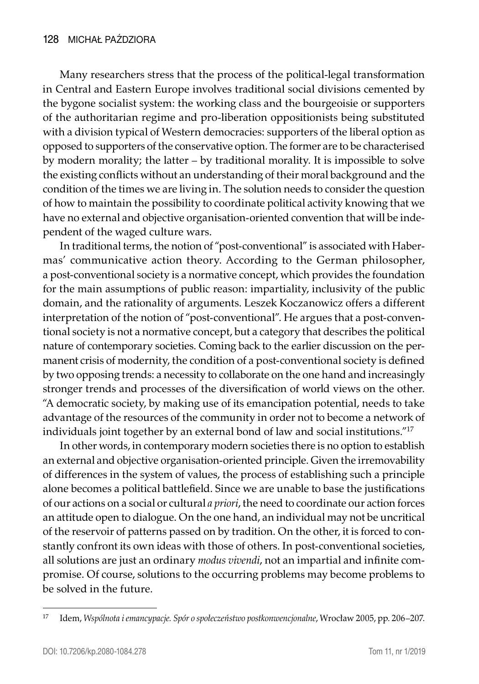Many researchers stress that the process of the political-legal transformation in Central and Eastern Europe involves traditional social divisions cemented by the bygone socialist system: the working class and the bourgeoisie or supporters of the authoritarian regime and pro-liberation oppositionists being substituted with a division typical of Western democracies: supporters of the liberal option as opposed to supporters of the conservative option. The former are to be characterised by modern morality; the latter – by traditional morality. It is impossible to solve the existing conflicts without an understanding of their moral background and the condition of the times we are living in. The solution needs to consider the question of how to maintain the possibility to coordinate political activity knowing that we have no external and objective organisation-oriented convention that will be independent of the waged culture wars.

In traditional terms, the notion of "post-conventional" is associated with Habermas' communicative action theory. According to the German philosopher, a post-conventional society is a normative concept, which provides the foundation for the main assumptions of public reason: impartiality, inclusivity of the public domain, and the rationality of arguments. Leszek Koczanowicz offers a different interpretation of the notion of "post-conventional". He argues that a post-conventional society is not a normative concept, but a category that describes the political nature of contemporary societies. Coming back to the earlier discussion on the permanent crisis of modernity, the condition of a post-conventional society is defined by two opposing trends: a necessity to collaborate on the one hand and increasingly stronger trends and processes of the diversification of world views on the other. "A democratic society, by making use of its emancipation potential, needs to take advantage of the resources of the community in order not to become a network of individuals joint together by an external bond of law and social institutions."17

In other words, in contemporary modern societies there is no option to establish an external and objective organisation-oriented principle. Given the irremovability of differences in the system of values, the process of establishing such a principle alone becomes a political battlefield. Since we are unable to base the justifications of our actions on a social or cultural *a priori*, the need to coordinate our action forces an attitude open to dialogue. On the one hand, an individual may not be uncritical of the reservoir of patterns passed on by tradition. On the other, it is forced to constantly confront its own ideas with those of others. In post-conventional societies, all solutions are just an ordinary *modus vivendi*, not an impartial and infinite compromise. Of course, solutions to the occurring problems may become problems to be solved in the future.

<sup>17</sup> Idem, *Wspólnota i emancypacje. Spór o społeczeństwo postkonwencjonalne*, Wrocław 2005, pp. 206–207.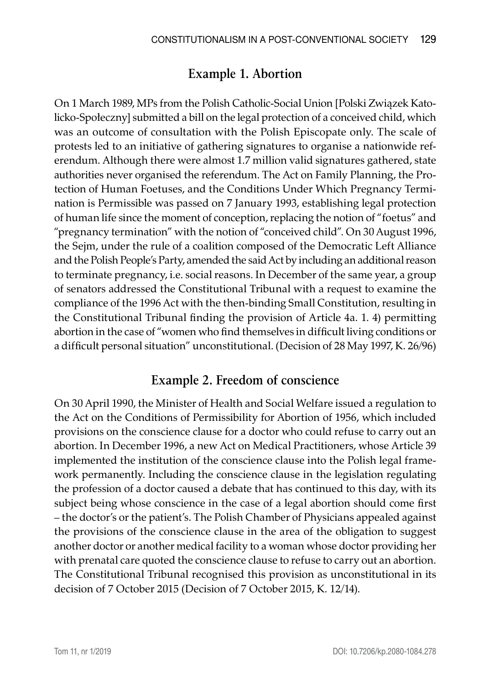#### **Example 1. Abortion**

On 1 March 1989, MPs from the Polish Catholic-Social Union [Polski Związek Katolicko-Społeczny] submitted a bill on the legal protection of a conceived child, which was an outcome of consultation with the Polish Episcopate only. The scale of protests led to an initiative of gathering signatures to organise a nationwide referendum. Although there were almost 1.7 million valid signatures gathered, state authorities never organised the referendum. The Act on Family Planning, the Protection of Human Foetuses, and the Conditions Under Which Pregnancy Termination is Permissible was passed on 7 January 1993, establishing legal protection of human life since the moment of conception, replacing the notion of "foetus" and "pregnancy termination" with the notion of "conceived child". On 30 August 1996, the Sejm, under the rule of a coalition composed of the Democratic Left Alliance and the Polish People's Party, amended the said Act by including an additional reason to terminate pregnancy, i.e. social reasons. In December of the same year, a group of senators addressed the Constitutional Tribunal with a request to examine the compliance of the 1996 Act with the then-binding Small Constitution, resulting in the Constitutional Tribunal finding the provision of Article 4a. 1. 4) permitting abortion in the case of "women who find themselves in difficult living conditions or a difficult personal situation" unconstitutional. (Decision of 28 May 1997, K. 26/96)

#### **Example 2. Freedom of conscience**

On 30 April 1990, the Minister of Health and Social Welfare issued a regulation to the Act on the Conditions of Permissibility for Abortion of 1956, which included provisions on the conscience clause for a doctor who could refuse to carry out an abortion. In December 1996, a new Act on Medical Practitioners, whose Article 39 implemented the institution of the conscience clause into the Polish legal framework permanently. Including the conscience clause in the legislation regulating the profession of a doctor caused a debate that has continued to this day, with its subject being whose conscience in the case of a legal abortion should come first – the doctor's or the patient's. The Polish Chamber of Physicians appealed against the provisions of the conscience clause in the area of the obligation to suggest another doctor or another medical facility to a woman whose doctor providing her with prenatal care quoted the conscience clause to refuse to carry out an abortion. The Constitutional Tribunal recognised this provision as unconstitutional in its decision of 7 October 2015 (Decision of 7 October 2015, K. 12/14).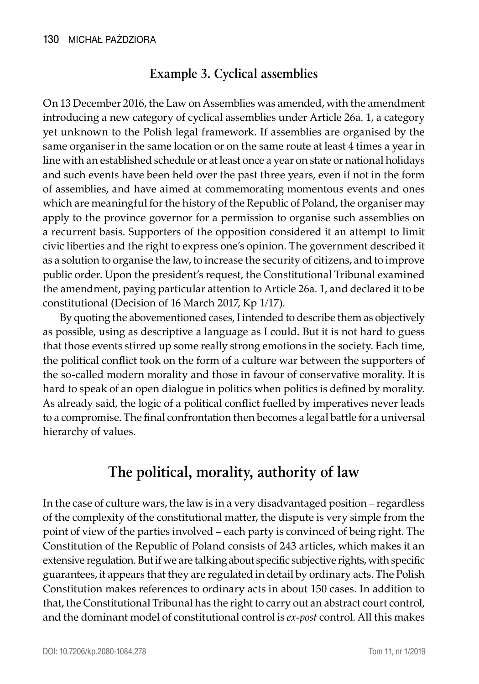### **Example 3. Cyclical assemblies**

On 13 December 2016, the Law on Assemblies was amended, with the amendment introducing a new category of cyclical assemblies under Article 26a. 1, a category yet unknown to the Polish legal framework. If assemblies are organised by the same organiser in the same location or on the same route at least 4 times a year in line with an established schedule or at least once a year on state or national holidays and such events have been held over the past three years, even if not in the form of assemblies, and have aimed at commemorating momentous events and ones which are meaningful for the history of the Republic of Poland, the organiser may apply to the province governor for a permission to organise such assemblies on a recurrent basis. Supporters of the opposition considered it an attempt to limit civic liberties and the right to express one's opinion. The government described it as a solution to organise the law, to increase the security of citizens, and to improve public order. Upon the president's request, the Constitutional Tribunal examined the amendment, paying particular attention to Article 26a. 1, and declared it to be constitutional (Decision of 16 March 2017, Kp 1/17).

By quoting the abovementioned cases, I intended to describe them as objectively as possible, using as descriptive a language as I could. But it is not hard to guess that those events stirred up some really strong emotions in the society. Each time, the political conflict took on the form of a culture war between the supporters of the so-called modern morality and those in favour of conservative morality. It is hard to speak of an open dialogue in politics when politics is defined by morality. As already said, the logic of a political conflict fuelled by imperatives never leads to a compromise. The final confrontation then becomes a legal battle for a universal hierarchy of values.

# **The political, morality, authority of law**

In the case of culture wars, the law is in a very disadvantaged position – regardless of the complexity of the constitutional matter, the dispute is very simple from the point of view of the parties involved – each party is convinced of being right. The Constitution of the Republic of Poland consists of 243 articles, which makes it an extensive regulation. But if we are talking about specific subjective rights, with specific guarantees, it appears that they are regulated in detail by ordinary acts. The Polish Constitution makes references to ordinary acts in about 150 cases. In addition to that, the Constitutional Tribunal has the right to carry out an abstract court control, and the dominant model of constitutional control is *ex-post* control. All this makes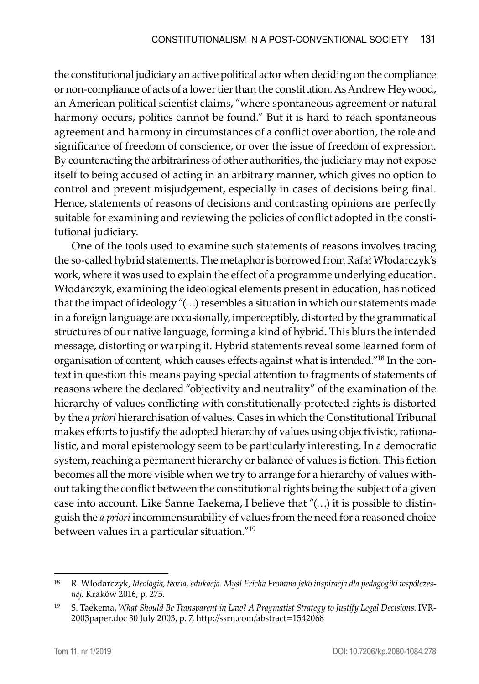the constitutional judiciary an active political actor when deciding on the compliance or non-compliance of acts of a lower tier than the constitution. As Andrew Heywood, an American political scientist claims, "where spontaneous agreement or natural harmony occurs, politics cannot be found." But it is hard to reach spontaneous agreement and harmony in circumstances of a conflict over abortion, the role and significance of freedom of conscience, or over the issue of freedom of expression. By counteracting the arbitrariness of other authorities, the judiciary may not expose itself to being accused of acting in an arbitrary manner, which gives no option to control and prevent misjudgement, especially in cases of decisions being final. Hence, statements of reasons of decisions and contrasting opinions are perfectly suitable for examining and reviewing the policies of conflict adopted in the constitutional judiciary.

One of the tools used to examine such statements of reasons involves tracing the so-called hybrid statements. The metaphor is borrowed from Rafał Włodarczyk's work, where it was used to explain the effect of a programme underlying education. Włodarczyk, examining the ideological elements present in education, has noticed that the impact of ideology "(…) resembles a situation in which our statements made in a foreign language are occasionally, imperceptibly, distorted by the grammatical structures of our native language, forming a kind of hybrid. This blurs the intended message, distorting or warping it. Hybrid statements reveal some learned form of organisation of content, which causes effects against what is intended."18 In the context in question this means paying special attention to fragments of statements of reasons where the declared "objectivity and neutrality" of the examination of the hierarchy of values conflicting with constitutionally protected rights is distorted by the *a priori* hierarchisation of values. Cases in which the Constitutional Tribunal makes efforts to justify the adopted hierarchy of values using objectivistic, rationalistic, and moral epistemology seem to be particularly interesting. In a democratic system, reaching a permanent hierarchy or balance of values is fiction. This fiction becomes all the more visible when we try to arrange for a hierarchy of values without taking the conflict between the constitutional rights being the subject of a given case into account. Like Sanne Taekema, I believe that "(…) it is possible to distinguish the *a priori* incommensurability of values from the need for a reasoned choice between values in a particular situation."19

<sup>18</sup> R. Włodarczyk, *Ideologia, teoria, edukacja. Myśl Ericha Fromma jako inspiracja dla pedagogiki współczesnej,* Kraków 2016, p. 275.

<sup>19</sup> S. Taekema, *What Should Be Transparent in Law? A Pragmatist Strategy to Justify Legal Decisions*. IVR-2003paper.doc 30 July 2003, p. 7, http://ssrn.com/abstract=1542068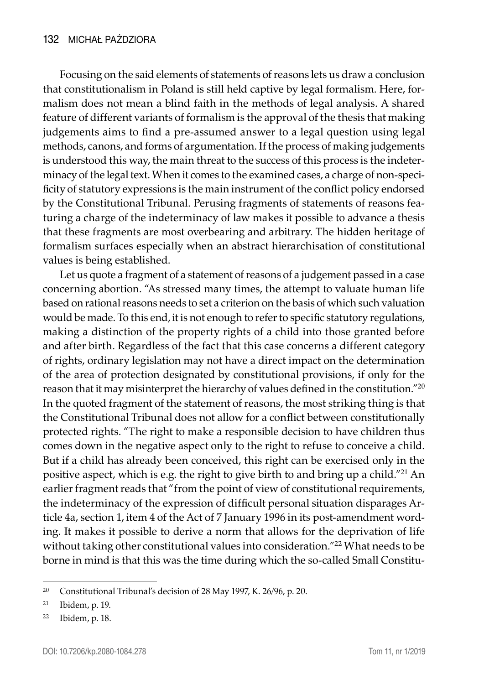Focusing on the said elements of statements of reasons lets us draw a conclusion that constitutionalism in Poland is still held captive by legal formalism. Here, formalism does not mean a blind faith in the methods of legal analysis. A shared feature of different variants of formalism is the approval of the thesis that making judgements aims to find a pre-assumed answer to a legal question using legal methods, canons, and forms of argumentation. If the process of making judgements is understood this way, the main threat to the success of this process is the indeterminacy of the legal text. When it comes to the examined cases, a charge of non-specificity of statutory expressions is the main instrument of the conflict policy endorsed by the Constitutional Tribunal. Perusing fragments of statements of reasons featuring a charge of the indeterminacy of law makes it possible to advance a thesis that these fragments are most overbearing and arbitrary. The hidden heritage of formalism surfaces especially when an abstract hierarchisation of constitutional values is being established.

Let us quote a fragment of a statement of reasons of a judgement passed in a case concerning abortion. "As stressed many times, the attempt to valuate human life based on rational reasons needs to set a criterion on the basis of which such valuation would be made. To this end, it is not enough to refer to specific statutory regulations, making a distinction of the property rights of a child into those granted before and after birth. Regardless of the fact that this case concerns a different category of rights, ordinary legislation may not have a direct impact on the determination of the area of protection designated by constitutional provisions, if only for the reason that it may misinterpret the hierarchy of values defined in the constitution."20 In the quoted fragment of the statement of reasons, the most striking thing is that the Constitutional Tribunal does not allow for a conflict between constitutionally protected rights. "The right to make a responsible decision to have children thus comes down in the negative aspect only to the right to refuse to conceive a child. But if a child has already been conceived, this right can be exercised only in the positive aspect, which is e.g. the right to give birth to and bring up a child."21 An earlier fragment reads that "from the point of view of constitutional requirements, the indeterminacy of the expression of difficult personal situation disparages Article 4a, section 1, item 4 of the Act of 7 January 1996 in its post-amendment wording. It makes it possible to derive a norm that allows for the deprivation of life without taking other constitutional values into consideration."<sup>22</sup> What needs to be borne in mind is that this was the time during which the so-called Small Constitu-

<sup>20</sup> Constitutional Tribunal's decision of 28 May 1997, K. 26/96, p. 20.

<sup>21</sup> Ibidem, p. 19.

<sup>22</sup> Ibidem, p. 18.